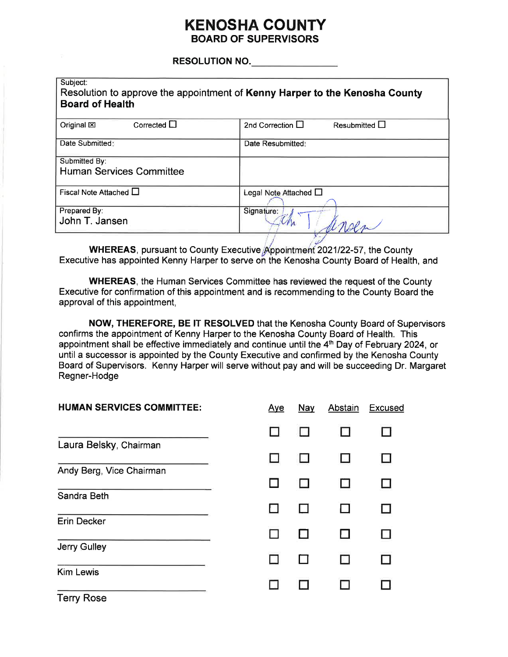## **KENOSHA COUNTY BOARD OF SUPERVISORS**

RESOLUTION NO.

| Subject:<br>Resolution to approve the appointment of Kenny Harper to the Kenosha County<br><b>Board of Health</b> |                                             |  |  |  |  |
|-------------------------------------------------------------------------------------------------------------------|---------------------------------------------|--|--|--|--|
| Corrected $\Box$<br>Original <sub>[X]</sub>                                                                       | 2nd Correction $\Box$<br>Resubmitted $\Box$ |  |  |  |  |
| Date Submitted:                                                                                                   | Date Resubmitted:                           |  |  |  |  |
| Submitted By:<br><b>Human Services Committee</b>                                                                  |                                             |  |  |  |  |
| Fiscal Note Attached $\square$                                                                                    | Legal Note Attached □                       |  |  |  |  |
| Prepared By:<br>John T. Jansen                                                                                    | Signature:                                  |  |  |  |  |

WHEREAS, pursuant to County Executive Appointment 2021/22-57, the County Executive has appointed Kenny Harper to serve on the Kenosha County Board of Health, and

**WHEREAS, the Human Services Committee has reviewed the request of the County** Executive for confirmation of this appointment and is recommending to the County Board the approval of this appointment,

NOW, THEREFORE, BE IT RESOLVED that the Kenosha County Board of Supervisors confirms the appointment of Kenny Harper to the Kenosha County Board of Health. This appointment shall be effective immediately and continue until the 4<sup>th</sup> Day of February 2024, or until a successor is appointed by the County Executive and confirmed by the Kenosha County Board of Supervisors. Kenny Harper will serve without pay and will be succeeding Dr. Margaret Regner-Hodge

| <b>HUMAN SERVICES COMMITTEE:</b> | <u>Aye</u> | Nay | Abstain | <b>Excused</b> |
|----------------------------------|------------|-----|---------|----------------|
|                                  | П          |     |         |                |
| Laura Belsky, Chairman           |            |     |         | H              |
| Andy Berg, Vice Chairman         |            |     |         |                |
| Sandra Beth                      |            |     |         |                |
| Erin Decker                      |            |     |         | <b>COL</b>     |
| Jerry Gulley                     |            |     |         |                |
| <b>Kim Lewis</b>                 |            |     |         |                |
| <b>Terry Rose</b>                |            |     |         |                |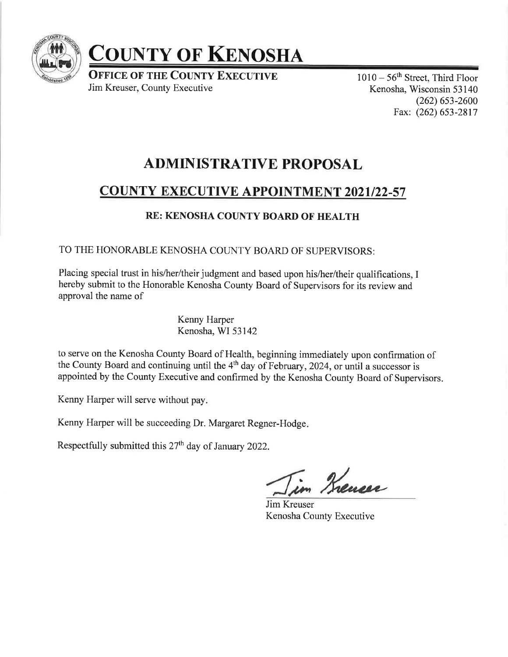

# COUNTY OF KENOSHA

**OFFICE OF THE COUNTY EXECUTIVE** Jim Kreuser, County Executive

 $1010 - 56$ <sup>th</sup> Street, Third Floor Kenosha, Wisconsin 53 140 (262) 6s3-2600 Fax: (262) 653-2817

# ADMINISTRATIVE PROPOSAL

## **COUNTY EXECUTIVE APPOINTMENT 2021/22-57**

### RE: KENOSHA COUNTY BOARD OF HEALTH

TO THE HONORABLE KENOSHA COUNTY BOARD OF SUPERVISORS:

Placing special trust in his/her/their judgment and based upon his/her/their qualifications, I hereby submit to the Honorable Kenosha County Board of Supervisors for its review and approval the name of

> Kenny Harper Kenosha, WI 53142

to serye on the Kenosha County Board of Health, beginning immediately upon confirmation of the County Board and continuing until the  $4<sup>th</sup>$  day of February, 2024, or until a successor is appointed by the County Executive and confirmed by the Kenosha County Board of Supervisors

Kenny Harper will serve without pay.

Kenny Harper will be succeeding Dr. Margaret Regner-Hodge

Respectfully submitted this 27<sup>th</sup> day of January 2022.

/\* I

Jim Kreuser Kenosha County Executive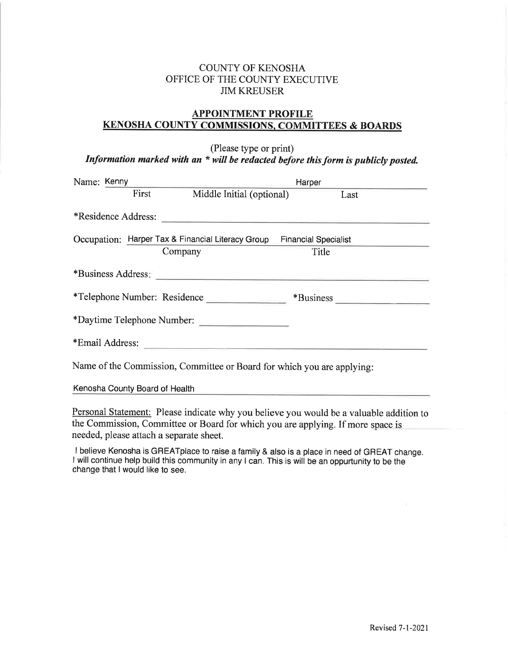#### COUNTY OF KENOSHA OFFICE OF THE COUNTY EXECUTIVE JIM KREUSER

#### APPOINTMENT PROFILE KENOSHA COUNTY COMMISSIONS. COMMITTEES & BOARDS

(Please type or print)

Information marked with an  $*$  will be redacted before this form is publicly posted.

| Name: Kenny |                                | Harper                                                                 |                             |      |
|-------------|--------------------------------|------------------------------------------------------------------------|-----------------------------|------|
|             | First                          | Middle Initial (optional)                                              |                             | Last |
|             | *Residence Address:            |                                                                        |                             |      |
|             |                                | Occupation: Harper Tax & Financial Literacy Group                      | <b>Financial Specialist</b> |      |
|             |                                | Company                                                                | Title                       |      |
|             | *Business Address:             | <u> 1989 - Jan Berlin, Amerikaansk politiker (d. 1989)</u>             |                             |      |
|             |                                | *Telephone Number: Residence                                           | *Business                   |      |
|             | *Daytime Telephone Number:     |                                                                        |                             |      |
|             | *Email Address:                |                                                                        |                             |      |
|             |                                | Name of the Commission, Committee or Board for which you are applying: |                             |      |
|             | Kenosha County Board of Health |                                                                        |                             |      |

Personal Statement: Please indicate why you believe you would be a valuable addition to the Commission, Committee or Board for which you are applying. If more space is needed, please attach a separate sheet.

I believe Kenosha is GREATplace to raise a family & also is a place in need of GREAT change. I will continue help build this community in any I can. This is will be an oppurtunity to be the change that I would like to see.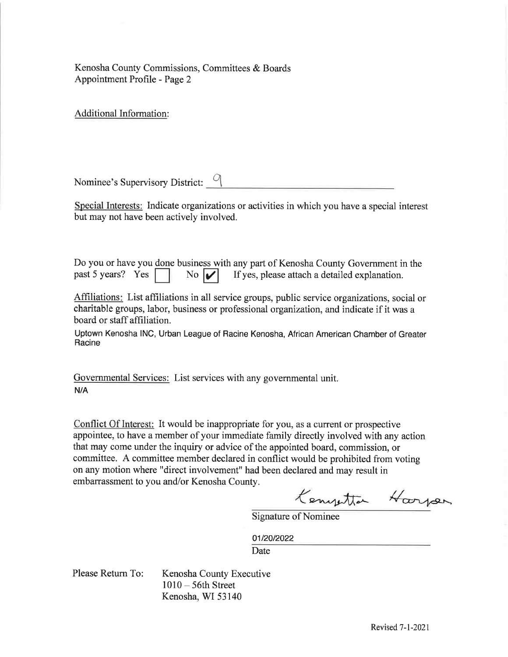Kenosha County Commissions, Committees & Boards Appointment Profile - Page 2

Additional Information:

Nominee's Supervisory District:  $\mathcal{Q}$ 

Special Interests: Indicate organizations or activities in which you have a special interest but may not have been actively involved.

Do you or have you done business with any part of Kenosha County Government in the past 5 years? Yes No  $\vert \psi \vert$  If yes, please attach a detailed explanation.

Affiliations: List affiliations in all service groups, public service organizations, social or chatitable groups, labor, business or professional organization, and indicate if it was a board or staff affiliation.

Uptown Kenosha lNC, Urban League of Racine Kenosha, African American Chamber of Greater **Racine** 

Governmental Services: List services with any governmental unit. N/A

Conflict Of Interest: It would be inappropriate for you, as a current or prospective appointee, to have a member of your immediate family directly involved with any action that may come under the inquiry or advice of the appointed board, commission, or committee. A committee member declared in conflict would be prohibited from voting on any motion where "direct involvement" had been declared and may result in embarrassment to you and/or Kenosha County.

Kenyertta Harpen

Signature of Nominee

0112012022

Date

Kenosha County Executive <sup>1010</sup>- 56th Street Kenosha, WI 53140 Please Return To: